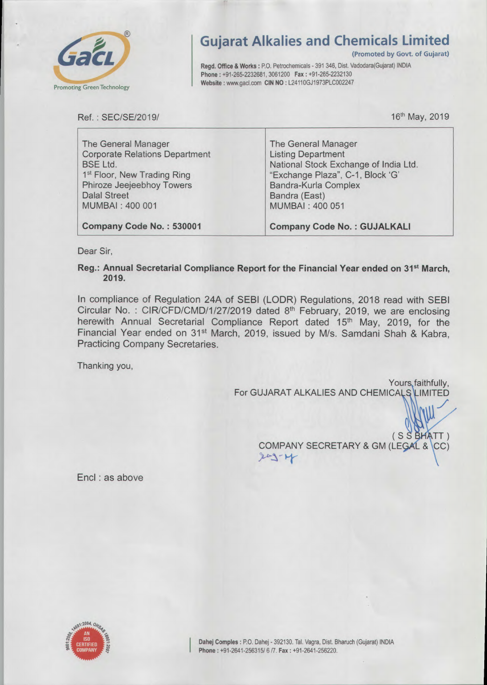

## Gujarat Alkalies and Chemicals Limited

(Promoted by Govt. of Gujarat)

Regd. Office & Works : P.O. Petrochemicals - 391 346, Dist. Vadodara(Gujarat) INDIA Phone: +91-265-2232681, 3061200 Fax: +91-265-2232130 Website : www.gacl.com CIN NO : L24110GJ1973PLC002247

Ref.: SEC/SE/2019/

16th May, 2019

ノ ノ

| The General Manager<br><b>Corporate Relations Department</b> | The General Manager<br><b>Listing Department</b> |
|--------------------------------------------------------------|--------------------------------------------------|
| <b>BSE Ltd.</b>                                              | National Stock Exchange of India Ltd.            |
| 1 <sup>st</sup> Floor, New Trading Ring                      | "Exchange Plaza", C-1, Block 'G'                 |
| Phiroze Jeejeebhoy Towers                                    | Bandra-Kurla Complex                             |
| <b>Dalal Street</b>                                          | Bandra (East)                                    |
| MUMBAI: 400 001                                              | MUMBAI: 400 051                                  |
| Company Code No.: 530001                                     | <b>Company Code No.: GUJALKALI</b>               |

Dear Sir,

Reg.: Annual Secretarial Compliance Report for the Financial Year ended on 31<sup>st</sup> March, 2019.

In compliance of Regulation 24A of SEBI (LODR) Regulations, 2018 read with SEBI Circular No.: CIR/CFD/CMD/1/27/2019 dated 8<sup>th</sup> February, 2019, we are enclosing herewith Annual Secretarial Compliance Report dated 15<sup>th</sup> May, 2019, for the Financial Year ended on 31<sup>st</sup> March, 2019, issued by M/s. Samdani Shah & Kabra, Practicing Company Secretaries.

Thanking you,

Yours, faithfully, For GUJARAT ALKALIES AND CHEMICALS LIMITED

> $(S \overset{\sim}{S} \overset{\sim}{B} \overset{\sim}{H} \overset{\sim}{A} TT)$ COMPANY SECRETARY & GM (LEGAL & CC)  $209 - 14$

Encl : as above

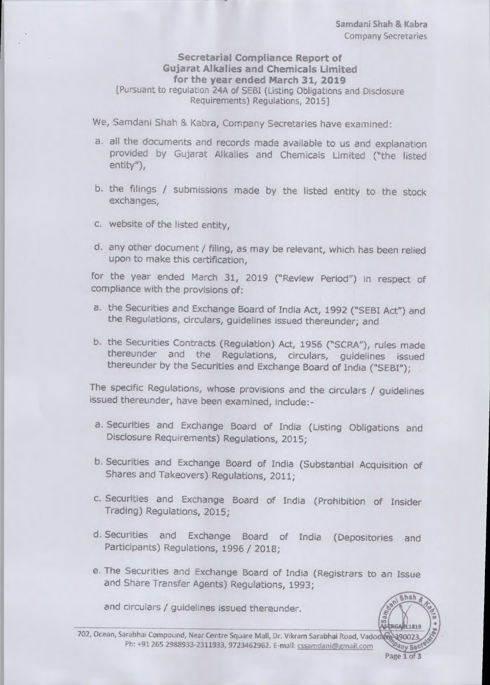## Secretarial Compliance Report of Gujarat Alkalies and Chemicals Limited for the year ended March 31, 2019 [Pursuant to regulaton 24A of SEBI (Listing Obligations and Disdosure Requirements) Regulations, 2015]

We, Samdani Shah & Kabra, Company Secretaries have examined:

- a. all the documents and records made available to us and explanation provided by Gujarat Alkalies and Chemicals Limited ("the listed entity"),
- b. the filings / submissions made by the listed entity to the stock exchanges,
- c. website of the listed entity,
- d. any other document / filing, as may be relevant, which has been relied upon to make this certification,

for the year ended March 31, 2019 ("Review Period") in respect of compliance with the provisions of:

- a. the Securities and Exchange Board of India Act, 1992 ("SEBI Act") and the Regulations, circulars, guidelines issued thereunder; and
- b. the Securities Contracts (Regulation) Act, 1956 ("SCRA"), rules made thereunder and the Regulations, circulars, guidelines issued thereunder by the Securities and Exchange Board of India ("SEBI");

The specific Regulations, whose provisions and the circulars / guidelines issued thereunder, have been examined, include:-

- a. Securities and Exchange Board of India (Listing Obligations and Disclosure Requirements) Regulations, 2015;
- b. Securities and Exchange Board of India (Substantial Acquisition of Shares and Takeovers) Regulations, 2011;
- c. Securities and Exchange Board of India (Prohibition of Insider Trading) Regulations, 2015;
- d. Securities and Exchange Board of India (Depositories and Participants) Regulations, 1996 / 2018;
- e. The Securities and Exchange Board of India (Registrars to an Issue and Share Transfer Agents) Regulations, 1993;

and circulars / guidelines issued thereunder.

702, Ocean, Sarabhai Compound, Near Centre Square Mall, Dr. Vikram Sarabhai Road, Vado Ph: +91 265 2988933-2311933, 9723462962. E-mail: cssamdani@gmail.com

Shah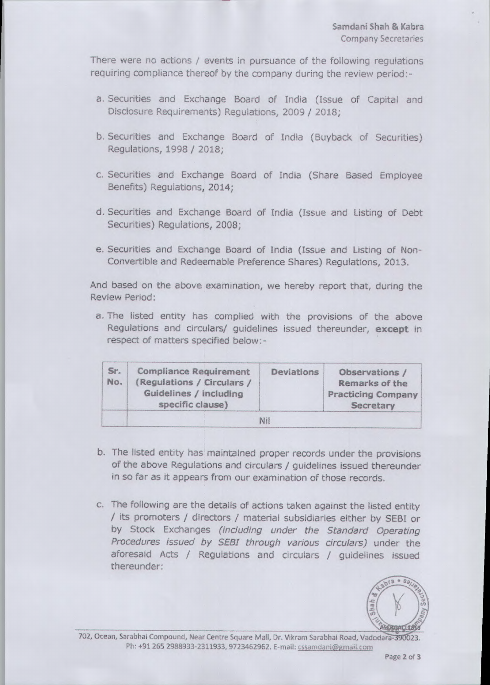There were no actions / events in pursuance of the following regulations requiring compliance thereof by the company during the review period:-

- a. Securities and Exchange Board of India (Issue of Capital and Disclosure Requirements) Regulations, 2009 / 2018;<br>b. Securities and Exchange Board of India (Buyback of Securities) Disclosure Requirements) Regulations, 2009 / 2018;
- Regulations, 1998 / 2018; b. Securities and Exchange Board of India (Buyback of Securities)<br>Regulations, 1998 / 2018;<br>c. Securities and Exchange Board of India (Share Based Employee
- Benefits) Regulations, 2014;
- d. Securities and Exchange Board of India (Issue and Listing of Debt Securities) Regulations, 2008;
- e. Securities and Exchange Board of India (Issue and Listing of Non-Convertible and Redeemable Preference Shares) Regulations, 2013.

And based on the above examination, we hereby report that, during the Review Period: Review Period;

a. The listed entity has complied with the provisions of the above Regulations and circulars/ guidelines issued thereunder, except in respect of matters specified below:-

| Sr.<br>No. | <b>Compliance Requirement</b><br>(Regulations / Circulars /<br>Guidelines / including<br>specific clause) | Deviations | Observations /<br>Remarks of the<br><b>Practicing Company</b><br>Secretary |
|------------|-----------------------------------------------------------------------------------------------------------|------------|----------------------------------------------------------------------------|
|            |                                                                                                           | Nil        |                                                                            |

- b. The listed entity has maintained proper records under the provisions of the above Regulations and circulars / guidelines issued thereunder in so far as it appears from our examination of those records, b. The listed entity has maintained proper records under the provisions of the above Regulations and circulars / guidelines issued thereunder in so far as it appears from our examination of those records. c. The following
- / its promoters / directors / material subsidiaries either by SEBI or by Stock Exchanges (including under the Standard Operating Procedures issued by SEBI through various circulars) under the aforesaid Acts / Regulations and circulars / guidelines issued aforesaid Acts / Regulations and circulars / guidelines issued thereunder: c. The following are the details of actions taken against the listed entity



The Bander.<br>
702, Ocean, Sarabhai Compound, Near Centre Square Mall, Dr. Vikram Sarabhai Road, Vadodara- 390023.<br>
Ph: 491 265 2888822 2311822 9722462963 5 mell mall, Dr. Vikram Sarabhai Road, Vadodara-390023. Ph: +91 265 2988933-2311933, 9723462962. E-mail: cssamdani@gmail.com Ph! +91 265 2988933-2311933, 9723462962. E-mail: cssamdani@gmail.com Page **2** of 3